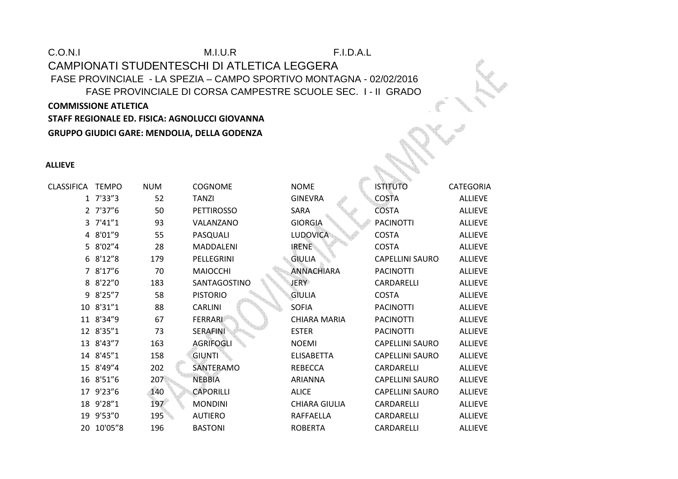# C.O.N.I M.I.U.R F.I.D.A.L CAMPIONATI STUDENTESCHI DI ATLETICA LEGGERA FASE PROVINCIALE - LA SPEZIA – CAMPO SPORTIVO MONTAGNA - 02/02/2016 FASE PROVINCIALE DI CORSA CAMPESTRE SCUOLE SEC. I - II GRADO **COMMISSIONE ATLETICA STAFF REGIONALE ED. FISICA: AGNOLUCCI GIOVANNA**

**GRUPPO GIUDICI GARE: MENDOLIA, DELLA GODENZA** 

### **ALLIEVE**

| CLASSIFICA | <b>TEMPO</b> | <b>NUM</b> | <b>COGNOME</b>    | <b>NOME</b>          | <b>ISTITUTO</b>        | <b>CATEGORIA</b> |
|------------|--------------|------------|-------------------|----------------------|------------------------|------------------|
|            | 1 7'33"3     | 52         | <b>TANZI</b>      | <b>GINEVRA</b>       | <b>COSTA</b>           | <b>ALLIEVE</b>   |
|            | 2 7'37"6     | 50         | <b>PETTIROSSO</b> | SARA                 | <b>COSTA</b>           | <b>ALLIEVE</b>   |
|            | 3 7'41"1     | 93         | VALANZANO         | <b>GIORGIA</b>       | <b>PACINOTTI</b>       | <b>ALLIEVE</b>   |
|            | 4 8'01"9     | 55         | PASQUALI          | <b>LUDOVICA</b>      | <b>COSTA</b>           | <b>ALLIEVE</b>   |
|            | 5 8'02"4     | 28         | <b>MADDALENI</b>  | <b>IRENE</b>         | <b>COSTA</b>           | <b>ALLIEVE</b>   |
|            | 6 8'12"8     | 179        | PELLEGRINI        | <b>GIULIA</b>        | <b>CAPELLINI SAURO</b> | <b>ALLIEVE</b>   |
|            | 7 8'17"6     | 70         | <b>MAIOCCHI</b>   | <b>ANNACHIARA</b>    | <b>PACINOTTI</b>       | <b>ALLIEVE</b>   |
|            | 8 8'22"0     | 183        | SANTAGOSTINO      | <b>JERY</b>          | CARDARELLI             | <b>ALLIEVE</b>   |
| 9          | 8'25''7      | 58         | <b>PISTORIO</b>   | <b>GIULIA</b>        | <b>COSTA</b>           | <b>ALLIEVE</b>   |
|            | 10 8'31"1    | 88         | <b>CARLINI</b>    | <b>SOFIA</b>         | <b>PACINOTTI</b>       | <b>ALLIEVE</b>   |
|            | 11 8'34"9    | 67         | FERRARI           | <b>CHIARA MARIA</b>  | <b>PACINOTTI</b>       | <b>ALLIEVE</b>   |
|            | 12 8'35"1    | 73         | SERAFINI          | <b>ESTER</b>         | <b>PACINOTTI</b>       | <b>ALLIEVE</b>   |
|            | 13 8'43"7    | 163        | <b>AGRIFOGLI</b>  | <b>NOEMI</b>         | <b>CAPELLINI SAURO</b> | <b>ALLIEVE</b>   |
|            | 14 8'45"1    | 158        | <b>GIUNTI</b>     | <b>ELISABETTA</b>    | <b>CAPELLINI SAURO</b> | <b>ALLIEVE</b>   |
|            | 15 8'49"4    | 202        | SANTERAMO         | <b>REBECCA</b>       | CARDARELLI             | <b>ALLIEVE</b>   |
|            | 16 8'51"6    | 207        | <b>NEBBIA</b>     | <b>ARIANNA</b>       | <b>CAPELLINI SAURO</b> | <b>ALLIEVE</b>   |
|            | 17 9'23"6    | 140        | <b>CAPORILLI</b>  | <b>ALICE</b>         | <b>CAPELLINI SAURO</b> | <b>ALLIEVE</b>   |
|            | 18 9'28"1    | 197        | <b>MONDINI</b>    | <b>CHIARA GIULIA</b> | CARDARELLI             | <b>ALLIEVE</b>   |
|            | 19 9'53"0    | 195        | <b>AUTIERO</b>    | RAFFAELLA            | CARDARELLI             | <b>ALLIEVE</b>   |
| 20         | 10'05"8      | 196        | <b>BASTONI</b>    | <b>ROBERTA</b>       | CARDARELLI             | <b>ALLIEVE</b>   |
|            |              |            |                   |                      |                        |                  |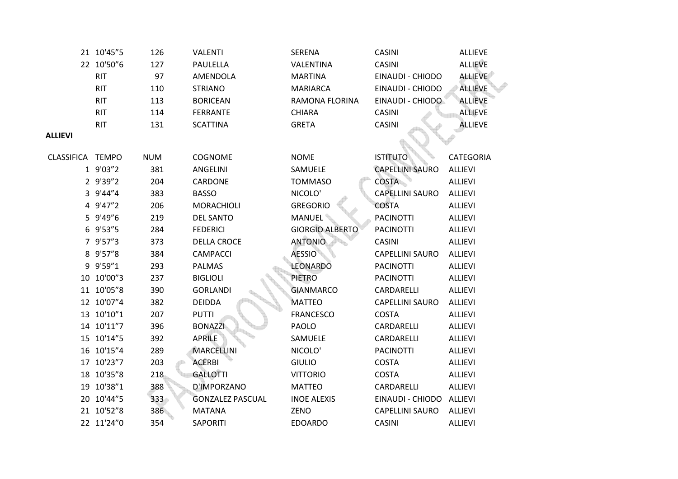|                  | 21 10'45"5 | 126        | <b>VALENTI</b>          | SERENA                 | <b>CASINI</b>            | <b>ALLIEVE</b>   |
|------------------|------------|------------|-------------------------|------------------------|--------------------------|------------------|
|                  | 22 10'50"6 | 127        | PAULELLA                | VALENTINA              | <b>CASINI</b>            | <b>ALLIEVE</b>   |
|                  | <b>RIT</b> | 97         | AMENDOLA                | <b>MARTINA</b>         | EINAUDI - CHIODO         | <b>ALLIEVE</b>   |
|                  | <b>RIT</b> | 110        | <b>STRIANO</b>          | <b>MARIARCA</b>        | EINAUDI - CHIODO         | <b>ALLIEVE</b>   |
|                  | <b>RIT</b> | 113        | <b>BORICEAN</b>         | <b>RAMONA FLORINA</b>  | EINAUDI - CHIODO         | <b>ALLIEVE</b>   |
|                  | <b>RIT</b> | 114        | <b>FERRANTE</b>         | <b>CHIARA</b>          | <b>CASINI</b>            | <b>ALLIEVE</b>   |
|                  | <b>RIT</b> | 131        | <b>SCATTINA</b>         | <b>GRETA</b>           | <b>CASINI</b>            | <b>ALLIEVE</b>   |
| <b>ALLIEVI</b>   |            |            |                         |                        |                          |                  |
| CLASSIFICA TEMPO |            | <b>NUM</b> | <b>COGNOME</b>          | <b>NOME</b>            | <b>ISTITUTO</b>          | <b>CATEGORIA</b> |
|                  | 1 9'03"2   | 381        | ANGELINI                | SAMUELE                | <b>CAPELLINI SAURO</b>   | <b>ALLIEVI</b>   |
|                  | 2 9'39"2   | 204        | CARDONE                 | <b>TOMMASO</b>         | <b>COSTA</b>             | <b>ALLIEVI</b>   |
|                  | 3 9'44"4   | 383        | <b>BASSO</b>            | NICOLO'                | <b>CAPELLINI SAURO</b>   | <b>ALLIEVI</b>   |
|                  | 4 9'47"2   | 206        | <b>MORACHIOLI</b>       | <b>GREGORIO</b>        | <b>COSTA</b>             | <b>ALLIEVI</b>   |
|                  | 5 9'49"6   | 219        | <b>DEL SANTO</b>        | <b>MANUEL</b>          | <b>PACINOTTI</b>         | <b>ALLIEVI</b>   |
|                  | 6 9'53"5   | 284        | <b>FEDERICI</b>         | <b>GIORGIO ALBERTO</b> | <b>PACINOTTI</b>         | <b>ALLIEVI</b>   |
|                  | 7 9'57"3   | 373        | <b>DELLA CROCE</b>      | <b>ANTONIO</b>         | <b>CASINI</b>            | <b>ALLIEVI</b>   |
|                  | 8 9'57"8   | 384        | <b>CAMPACCI</b>         | <b>AESSIO</b>          | <b>CAPELLINI SAURO</b>   | <b>ALLIEVI</b>   |
|                  | 9 9'59"1   | 293        | <b>PALMAS</b>           | <b>LEONARDO</b>        | <b>PACINOTTI</b>         | <b>ALLIEVI</b>   |
|                  | 10 10'00"3 | 237        | <b>BIGLIOLI</b>         | <b>PIETRO</b>          | <b>PACINOTTI</b>         | <b>ALLIEVI</b>   |
|                  | 11 10'05"8 | 390        | <b>GORLANDI</b>         | <b>GIANMARCO</b>       | CARDARELLI               | <b>ALLIEVI</b>   |
|                  | 12 10'07"4 | 382        | <b>DEIDDA</b>           | <b>MATTEO</b>          | <b>CAPELLINI SAURO</b>   | ALLIEVI          |
|                  | 13 10'10"1 | 207        | <b>PUTTI</b>            | <b>FRANCESCO</b>       | <b>COSTA</b>             | <b>ALLIEVI</b>   |
|                  | 14 10'11"7 | 396        | <b>BONAZZI</b>          | PAOLO                  | CARDARELLI               | <b>ALLIEVI</b>   |
|                  | 15 10'14"5 | 392        | <b>APRILE</b>           | SAMUELE                | CARDARELLI               | <b>ALLIEVI</b>   |
|                  | 16 10'15"4 | 289        | <b>MARCELLINI</b>       | NICOLO'                | <b>PACINOTTI</b>         | <b>ALLIEVI</b>   |
|                  | 17 10'23"7 | 203        | <b>ACERBI</b>           | <b>GIULIO</b>          | <b>COSTA</b>             | <b>ALLIEVI</b>   |
|                  | 18 10'35"8 | 218        | <b>GALLOTTI</b>         | <b>VITTORIO</b>        | <b>COSTA</b>             | <b>ALLIEVI</b>   |
|                  | 19 10'38"1 | 388        | D'IMPORZANO             | <b>MATTEO</b>          | CARDARELLI               | ALLIEVI          |
|                  | 20 10'44"5 | 333        | <b>GONZALEZ PASCUAL</b> | <b>INOE ALEXIS</b>     | EINAUDI - CHIODO ALLIEVI |                  |
|                  | 21 10'52"8 | 386        | <b>MATANA</b>           | ZENO                   | <b>CAPELLINI SAURO</b>   | <b>ALLIEVI</b>   |
|                  | 22 11'24"0 | 354        | SAPORITI                | <b>EDOARDO</b>         | <b>CASINI</b>            | ALLIEVI          |
|                  |            |            |                         |                        |                          |                  |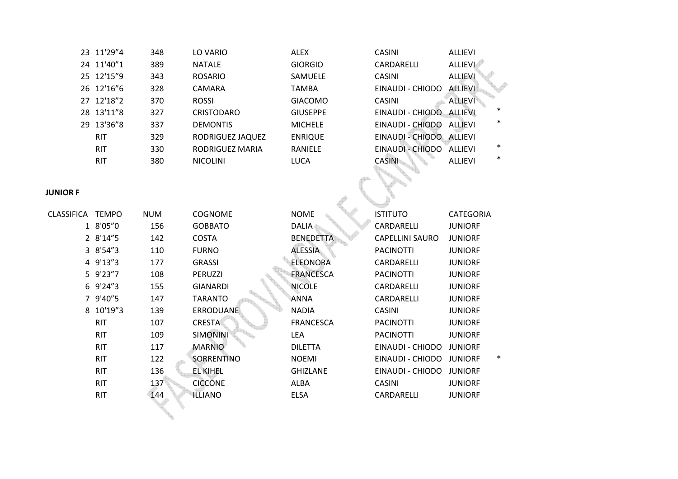| 23 11'29"4 | 348 | LO VARIO          | <b>ALEX</b>     | <b>CASINI</b>            | ALLIEVI        |
|------------|-----|-------------------|-----------------|--------------------------|----------------|
| 24 11'40″1 | 389 | <b>NATALE</b>     | <b>GIORGIO</b>  | CARDARELLI               | <b>ALLIEVI</b> |
| 25 12'15"9 | 343 | <b>ROSARIO</b>    | <b>SAMUELE</b>  | <b>CASINI</b>            | <b>ALLIEVI</b> |
| 26 12'16″6 | 328 | <b>CAMARA</b>     | <b>TAMBA</b>    | EINAUDI - CHIODO         | <b>ALLIEVI</b> |
| 27 12'18"2 | 370 | <b>ROSSI</b>      | <b>GIACOMO</b>  | <b>CASINI</b>            | <b>ALLIEVI</b> |
| 28 13'11″8 | 327 | <b>CRISTODARO</b> | <b>GIUSEPPE</b> | EINAUDI - CHIODO         | <b>ALLIEVI</b> |
| 29 13'36″8 | 337 | <b>DEMONTIS</b>   | <b>MICHELE</b>  | EINAUDI - CHIODO         | <b>ALLIEVI</b> |
| <b>RIT</b> | 329 | RODRIGUEZ JAQUEZ  | <b>ENRIQUE</b>  | EINAUDI - CHIODO ALLIEVI |                |
| <b>RIT</b> | 330 | RODRIGUEZ MARIA   | RANIELE         | EINAUDI - CHIODO         | ALLIEVI        |
| <b>RIT</b> | 380 | <b>NICOLINI</b>   | <b>LUCA</b>     | <b>CASINI</b>            | <b>ALLIEVI</b> |
|            |     |                   |                 |                          |                |

| CASINI                   | <b>ALLIFVI</b>           |
|--------------------------|--------------------------|
| CARDARELLI               | <b>ALLIEVI</b>           |
| <b>CASINI</b>            | <b>ALLIEVI</b>           |
| EINAUDI - CHIODO         | <b>ALLIEVI</b>           |
| <b>CASINI</b>            | <b>ALLIEVI</b>           |
| EINAUDI - CHIODO ALLIEVI | $\ast$                   |
| EINAUDI - CHIODO ALLIEVI | $\ast$                   |
| EINAUDI - CHIODO ALLIEVI |                          |
| EINAUDI - CHIODO ALLIEVI | *                        |
| <b>CASINI</b>            | $\ast$<br><b>ALLIFVI</b> |

# **JUNIOR F**

| <b>UNIOR F</b> |              |            |                  |                  |                        |                          |  |
|----------------|--------------|------------|------------------|------------------|------------------------|--------------------------|--|
| CLASSIFICA     | <b>TEMPO</b> | <b>NUM</b> | <b>COGNOME</b>   | <b>NOME</b>      | <b>ISTITUTO</b>        | <b>CATEGORIA</b>         |  |
|                | 1 8'05"0     | 156        | <b>GOBBATO</b>   | <b>DALIA</b>     | CARDARELLI             | <b>JUNIORF</b>           |  |
|                | 2 8'14"5     | 142        | <b>COSTA</b>     | <b>BENEDETTA</b> | <b>CAPELLINI SAURO</b> | <b>JUNIORF</b>           |  |
|                | 3 8'54"3     | 110        | <b>FURNO</b>     | <b>ALESSIA</b>   | <b>PACINOTTI</b>       | <b>JUNIORF</b>           |  |
|                | 4 9'13"3     | 177        | <b>GRASSI</b>    | <b>ELEONORA</b>  | CARDARELLI             | <b>JUNIORF</b>           |  |
|                | 5 9'23"7     | 108        | PERUZZI          | <b>FRANCESCA</b> | <b>PACINOTTI</b>       | <b>JUNIORF</b>           |  |
|                | 6 9'24"3     | 155        | <b>GIANARDI</b>  | <b>NICOLE</b>    | CARDARELLI             | <b>JUNIORF</b>           |  |
|                | 9'40"5       | 147        | <b>TARANTO</b>   | ANNA             | CARDARELLI             | <b>JUNIORF</b>           |  |
|                | 8 10'19"3    | 139        | <b>ERRODUANE</b> | <b>NADIA</b>     | <b>CASINI</b>          | <b>JUNIORF</b>           |  |
|                | <b>RIT</b>   | 107        | <b>CRESTA</b>    | <b>FRANCESCA</b> | <b>PACINOTTI</b>       | <b>JUNIORF</b>           |  |
|                | <b>RIT</b>   | 109        | <b>SIMONINI</b>  | LEA              | <b>PACINOTTI</b>       | <b>JUNIORF</b>           |  |
|                | <b>RIT</b>   | 117        | <b>MARNIO</b>    | <b>DILETTA</b>   | EINAUDI - CHIODO       | <b>JUNIORF</b>           |  |
|                | <b>RIT</b>   | 122        | SORRENTINO       | <b>NOEMI</b>     | EINAUDI - CHIODO       | $\ast$<br><b>JUNIORF</b> |  |
|                | <b>RIT</b>   | 136        | <b>EL KIHEL</b>  | <b>GHIZLANE</b>  | EINAUDI - CHIODO       | <b>JUNIORF</b>           |  |
|                | <b>RIT</b>   | 137        | <b>CICCONE</b>   | <b>ALBA</b>      | <b>CASINI</b>          | <b>JUNIORF</b>           |  |
|                | <b>RIT</b>   | 144        | <b>ILLIANO</b>   | <b>ELSA</b>      | CARDARELLI             | <b>JUNIORF</b>           |  |
|                |              |            |                  |                  |                        |                          |  |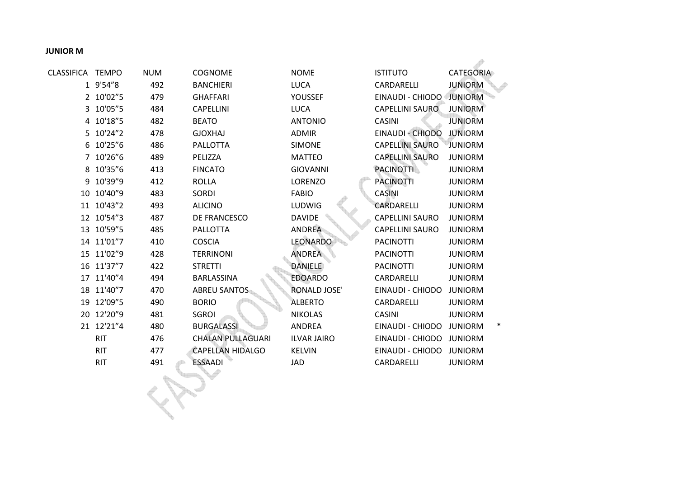## **JUNIOR M**

| CLASSIFICA     | <b>TEMPO</b> | <b>NUM</b> | <b>COGNOME</b>           | <b>NOME</b>         | <b>ISTITUTO</b>        | <b>CATEGORIA</b>    |
|----------------|--------------|------------|--------------------------|---------------------|------------------------|---------------------|
|                | 1 9'54"8     | 492        | <b>BANCHIERI</b>         | <b>LUCA</b>         | CARDARELLI             | <b>JUNIORM</b>      |
|                | 2 10'02"5    | 479        | <b>GHAFFARI</b>          | YOUSSEF             | EINAUDI - CHIODO       | <b>JUNIORM</b>      |
| 3              | 10'05"5      | 484        | <b>CAPELLINI</b>         | <b>LUCA</b>         | <b>CAPELLINI SAURO</b> | <b>JUNIORM</b>      |
|                | 4 10'18"5    | 482        | <b>BEATO</b>             | <b>ANTONIO</b>      | <b>CASINI</b>          | <b>JUNIORM</b>      |
| 5.             | 10'24"2      | 478        | <b>GJOXHAJ</b>           | <b>ADMIR</b>        | EINAUDI - CHIODO       | <b>JUNIORM</b>      |
| 6              | 10'25"6      | 486        | <b>PALLOTTA</b>          | <b>SIMONE</b>       | <b>CAPELLINI SAURO</b> | JUNIORM             |
| $\overline{7}$ | 10'26"6      | 489        | PELIZZA                  | <b>MATTEO</b>       | <b>CAPELLINI SAURO</b> | <b>JUNIORM</b>      |
| 8              | 10'35"6      | 413        | <b>FINCATO</b>           | <b>GIOVANNI</b>     | <b>PACINOTTI</b>       | <b>JUNIORM</b>      |
| 9              | 10'39"9      | 412        | <b>ROLLA</b>             | <b>LORENZO</b>      | <b>PACINOTTI</b>       | <b>JUNIORM</b>      |
| 10             | 10'40"9      | 483        | <b>SORDI</b>             | <b>FABIO</b>        | <b>CASINI</b>          | <b>JUNIORM</b>      |
| 11             | 10'43"2      | 493        | <b>ALICINO</b>           | LUDWIG              | CARDARELLI             | <b>JUNIORM</b>      |
|                | 12 10'54"3   | 487        | DE FRANCESCO             | <b>DAVIDE</b>       | <b>CAPELLINI SAURO</b> | <b>JUNIORM</b>      |
|                | 13 10'59"5   | 485        | <b>PALLOTTA</b>          | <b>ANDREA</b>       | <b>CAPELLINI SAURO</b> | <b>JUNIORM</b>      |
|                | 14 11'01"7   | 410        | <b>COSCIA</b>            | LEONARDO            | <b>PACINOTTI</b>       | <b>JUNIORM</b>      |
|                | 15 11'02"9   | 428        | <b>TERRINONI</b>         | <b>ANDREA</b>       | <b>PACINOTTI</b>       | <b>JUNIORM</b>      |
|                | 16 11'37"7   | 422        | <b>STRETTI</b>           | <b>DANIELE</b>      | <b>PACINOTTI</b>       | <b>JUNIORM</b>      |
|                | 17 11'40"4   | 494        | <b>BARLASSINA</b>        | <b>EDOARDO</b>      | CARDARELLI             | <b>JUNIORM</b>      |
| 18             | 11'40"7      | 470        | <b>ABREU SANTOS</b>      | <b>RONALD JOSE'</b> | EINAUDI - CHIODO       | <b>JUNIORM</b>      |
| 19             | 12'09"5      | 490        | <b>BORIO</b>             | <b>ALBERTO</b>      | <b>CARDARELLI</b>      | <b>JUNIORM</b>      |
|                | 20 12'20"9   | 481        | <b>SGROI</b>             | <b>NIKOLAS</b>      | <b>CASINI</b>          | <b>JUNIORM</b>      |
|                | 21 12'21"4   | 480        | <b>BURGALASSI</b>        | <b>ANDREA</b>       | EINAUDI - CHIODO       | ∗<br><b>JUNIORM</b> |
|                | <b>RIT</b>   | 476        | <b>CHALAN PULLAGUARI</b> | <b>ILVAR JAIRO</b>  | EINAUDI - CHIODO       | <b>JUNIORM</b>      |
|                | <b>RIT</b>   | 477        | <b>CAPELLAN HIDALGO</b>  | <b>KELVIN</b>       | EINAUDI - CHIODO       | <b>JUNIORM</b>      |
|                | <b>RIT</b>   | 491        | <b>ESSAADI</b>           | <b>JAD</b>          | CARDARELLI             | <b>JUNIORM</b>      |
|                |              |            |                          |                     |                        |                     |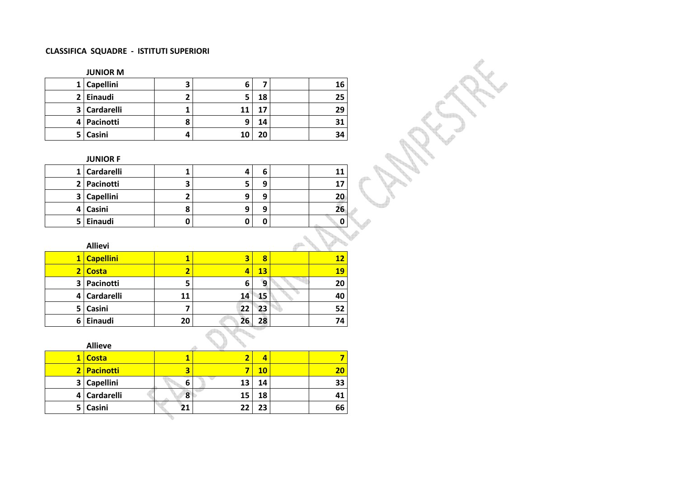#### **CLASSIFICA SQUADRE - ISTITUTI SUPERIORI**

### **JUNIOR M**

| 1 I            | <b>Capellini</b> | э | 6  |    | 16 |
|----------------|------------------|---|----|----|----|
| 2 <sup>1</sup> | Einaudi          |   |    | 18 | 25 |
| 3              | Cardarelli       |   | 11 |    | 29 |
| 41             | Pacinotti        | 8 | 9  | 14 | 31 |
| 5.             | Casini           | 4 | 10 | 20 | 34 |

#### **JUNIOR F**

|   | 1 Cardarelli     |   |   | 1  |
|---|------------------|---|---|----|
|   | 2 Pacinotti      | 7 | a |    |
| 3 | <b>Capellini</b> |   | a | 20 |
| 4 | Casini           |   | a | 26 |
| 5 | Einaudi          |   |   |    |

 $\mathbf{q}_{\mathrm{a}}$  .

|                | <b>Allievi</b>   |    |    |    |    |
|----------------|------------------|----|----|----|----|
| $1\vert$       | <b>Capellini</b> |    | З  | 8  | 12 |
| 2 <sub>1</sub> | <b>Costa</b>     |    |    | 13 | 19 |
| 3              | Pacinotti        | 5  | 6  | 9  | 20 |
| 4              | Cardarelli       | 11 | 14 | 15 | 40 |
| 5              | Casini           |    | 22 | 23 | 52 |
| 6              | Einaudi          | 20 | 26 | 28 | 74 |

#### **Allieve 1 Costa 1 <sup>2</sup> 4 7 <sup>10</sup> <sup>20</sup> 7** $20$ **2 Pacinotti 3** $\overline{6}$ **3 Capellini 6 <sup>13</sup> <sup>14</sup> <sup>33</sup> 4 Cardarelli 8 <sup>15</sup> <sup>18</sup> <sup>41</sup> 5Casini 21 <sup>22</sup> <sup>23</sup> <sup>66</sup>**

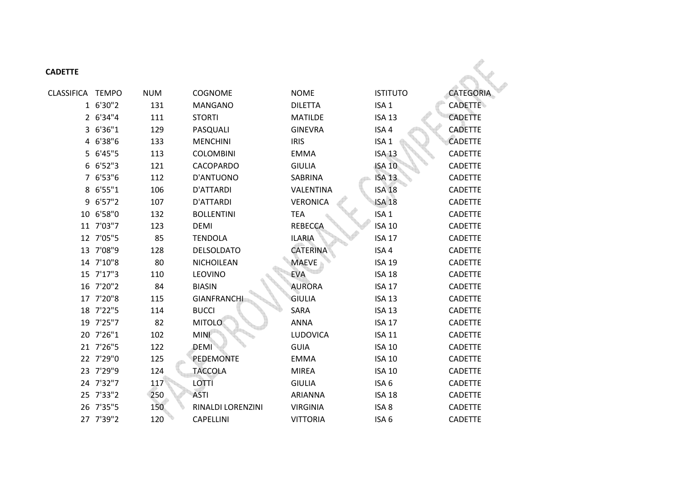| <b>CADETTE</b>   |           |            |                    |                 |                  |                |
|------------------|-----------|------------|--------------------|-----------------|------------------|----------------|
| CLASSIFICA TEMPO |           | <b>NUM</b> | <b>COGNOME</b>     | <b>NOME</b>     | <b>ISTITUTO</b>  | CATEGORIA      |
|                  | 1 6'30"2  | 131        | <b>MANGANO</b>     | <b>DILETTA</b>  | ISA <sub>1</sub> | <b>CADETTE</b> |
|                  | 2 6'34"4  | 111        | <b>STORTI</b>      | <b>MATILDE</b>  | <b>ISA 13</b>    | <b>CADETTE</b> |
|                  | 3 6'36"1  | 129        | PASQUALI           | <b>GINEVRA</b>  | ISA 4            | <b>CADETTE</b> |
|                  | 4 6'38"6  | 133        | <b>MENCHINI</b>    | <b>IRIS</b>     | ISA <sub>1</sub> | <b>CADETTE</b> |
|                  | 5 6'45"5  | 113        | <b>COLOMBINI</b>   | <b>EMMA</b>     | <b>ISA 13</b>    | <b>CADETTE</b> |
|                  | 6 6'52"3  | 121        | <b>CACOPARDO</b>   | <b>GIULIA</b>   | <b>ISA 10</b>    | <b>CADETTE</b> |
|                  | 7 6'53"6  | 112        | D'ANTUONO          | <b>SABRINA</b>  | <b>ISA 13</b>    | <b>CADETTE</b> |
|                  | 8 6'55"1  | 106        | <b>D'ATTARDI</b>   | VALENTINA       | <b>ISA 18</b>    | <b>CADETTE</b> |
|                  | 9 6'57"2  | 107        | D'ATTARDI          | <b>VERONICA</b> | <b>ISA 18</b>    | <b>CADETTE</b> |
|                  | 10 6'58"0 | 132        | <b>BOLLENTINI</b>  | <b>TEA</b>      | ISA <sub>1</sub> | <b>CADETTE</b> |
|                  | 11 7'03"7 | 123        | <b>DEMI</b>        | <b>REBECCA</b>  | <b>ISA 10</b>    | <b>CADETTE</b> |
|                  | 12 7'05"5 | 85         | <b>TENDOLA</b>     | <b>ILARIA</b>   | <b>ISA 17</b>    | <b>CADETTE</b> |
|                  | 13 7'08"9 | 128        | <b>DELSOLDATO</b>  | <b>CATERINA</b> | ISA 4            | <b>CADETTE</b> |
|                  | 14 7'10"8 | 80         | <b>NICHOILEAN</b>  | <b>MAEVE</b>    | <b>ISA 19</b>    | <b>CADETTE</b> |
|                  | 15 7'17"3 | 110        | LEOVINO            | <b>EVA</b>      | <b>ISA 18</b>    | <b>CADETTE</b> |
|                  | 16 7'20"2 | 84         | <b>BIASIN</b>      | <b>AURORA</b>   | <b>ISA 17</b>    | <b>CADETTE</b> |
|                  | 17 7'20"8 | 115        | <b>GIANFRANCHI</b> | <b>GIULIA</b>   | <b>ISA 13</b>    | <b>CADETTE</b> |
|                  | 18 7'22"5 | 114        | <b>BUCCI</b>       | SARA            | <b>ISA 13</b>    | <b>CADETTE</b> |
|                  | 19 7'25"7 | 82         | <b>MITOLO</b>      | <b>ANNA</b>     | <b>ISA 17</b>    | <b>CADETTE</b> |
|                  | 20 7'26"1 | 102        | <b>MINI</b>        | LUDOVICA        | <b>ISA 11</b>    | <b>CADETTE</b> |
|                  | 21 7'26"5 | 122        | <b>DEMI</b>        | <b>GUIA</b>     | <b>ISA 10</b>    | <b>CADETTE</b> |
|                  | 22 7'29"0 | 125        | <b>PEDEMONTE</b>   | <b>EMMA</b>     | <b>ISA 10</b>    | <b>CADETTE</b> |
|                  | 23 7'29"9 | 124        | <b>TACCOLA</b>     | <b>MIREA</b>    | <b>ISA 10</b>    | <b>CADETTE</b> |
|                  | 24 7'32"7 | 117        | LOTTI              | <b>GIULIA</b>   | ISA 6            | <b>CADETTE</b> |
|                  | 25 7'33"2 | 250        | <b>ASTI</b>        | <b>ARIANNA</b>  | <b>ISA 18</b>    | <b>CADETTE</b> |
|                  | 26 7'35"5 | 150        | RINALDI LORENZINI  | <b>VIRGINIA</b> | ISA 8            | <b>CADETTE</b> |
|                  | 27 7'39"2 | 120        | <b>CAPELLINI</b>   | <b>VITTORIA</b> | ISA 6            | <b>CADETTE</b> |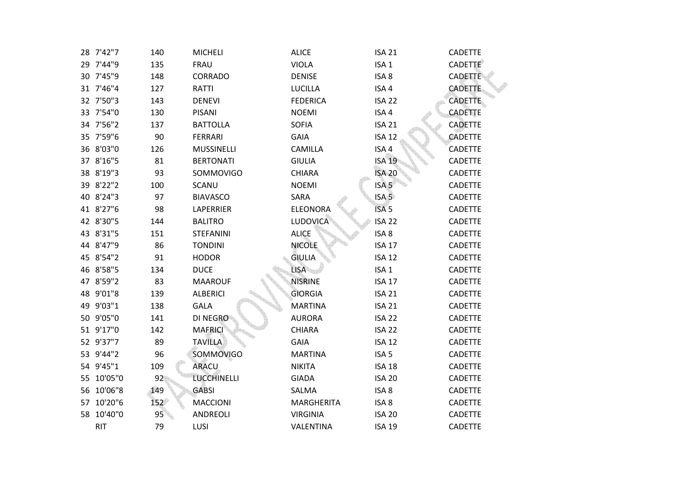| 28 7'42"7  | 140 | <b>MICHELI</b>     | <b>ALICE</b>      | <b>ISA 21</b>     | <b>CADETTE</b> |
|------------|-----|--------------------|-------------------|-------------------|----------------|
| 29 7'44"9  | 135 | <b>FRAU</b>        | <b>VIOLA</b>      | ISA <sub>1</sub>  | <b>CADETTE</b> |
| 30 7'45"9  | 148 | CORRADO            | <b>DENISE</b>     | ISA <sub>8</sub>  | <b>CADETTE</b> |
| 31 7'46"4  | 127 | RATTI              | <b>LUCILLA</b>    | ISA 4             | <b>CADETTE</b> |
| 32 7'50"3  | 143 | <b>DENEVI</b>      | <b>FEDERICA</b>   | <b>ISA 22</b>     | <b>CADETTE</b> |
| 33 7'54"0  | 130 | PISANI             | <b>NOEMI</b>      | ISA 4             | <b>CADETTE</b> |
| 34 7'56"2  | 137 | <b>BATTOLLA</b>    | <b>SOFIA</b>      | <b>ISA 21</b>     | <b>CADETTE</b> |
| 35 7'59"6  | 90  | <b>FERRARI</b>     | <b>GAIA</b>       | <b>ISA 12</b>     | <b>CADETTE</b> |
| 36 8'03"0  | 126 | MUSSINELLI         | <b>CAMILLA</b>    | ISA <sub>4</sub>  | <b>CADETTE</b> |
| 37 8'16"5  | 81  | <b>BERTONATI</b>   | <b>GIULIA</b>     | <b>ISA 19</b>     | <b>CADETTE</b> |
| 38 8'19"3  | 93  | SOMMOVIGO          | <b>CHIARA</b>     | <b>ISA 20</b>     | CADETTE        |
| 39 8'22"2  | 100 | SCANU              | <b>NOEMI</b>      | ISA <sub>5</sub>  | <b>CADETTE</b> |
| 40 8'24"3  | 97  | <b>BIAVASCO</b>    | SARA              | ISA <sub>5</sub>  | <b>CADETTE</b> |
| 41 8'27"6  | 98  | LAPERRIER          | <b>ELEONORA</b>   | ISA <sub>5</sub>  | <b>CADETTE</b> |
| 42 8'30"5  | 144 | <b>BALITRO</b>     | LUDOVICA          | ISA <sub>22</sub> | <b>CADETTE</b> |
| 43 8'31"5  | 151 | <b>STEFANINI</b>   | <b>ALICE</b>      | ISA <sub>8</sub>  | <b>CADETTE</b> |
| 44 8'47"9  | 86  | <b>TONDINI</b>     | <b>NICOLE</b>     | <b>ISA 17</b>     | <b>CADETTE</b> |
| 45 8'54"2  | 91  | <b>HODOR</b>       | <b>GIULIA</b>     | <b>ISA 12</b>     | <b>CADETTE</b> |
| 46 8'58"5  | 134 | <b>DUCE</b>        | <b>LISA</b>       | ISA <sub>1</sub>  | <b>CADETTE</b> |
| 47 8'59"2  | 83  | <b>MAAROUF</b>     | <b>NISRINE</b>    | <b>ISA 17</b>     | <b>CADETTE</b> |
| 48 9'01"8  | 139 | <b>ALBERICI</b>    | <b>GIORGIA</b>    | <b>ISA 21</b>     | <b>CADETTE</b> |
| 49 9'03"1  | 138 | GALA               | <b>MARTINA</b>    | <b>ISA 21</b>     | <b>CADETTE</b> |
| 50 9'05"0  | 141 | DI NEGRO           | <b>AURORA</b>     | ISA <sub>22</sub> | <b>CADETTE</b> |
| 51 9'17"0  | 142 | <b>MAFRICI</b>     | CHIARA            | ISA <sub>22</sub> | <b>CADETTE</b> |
| 52 9'37"7  | 89  | <b>TAVILLA</b>     | <b>GAIA</b>       | <b>ISA 12</b>     | <b>CADETTE</b> |
| 53 9'44"2  | 96  | <b>SOMMOVIGO</b>   | <b>MARTINA</b>    | ISA <sub>5</sub>  | <b>CADETTE</b> |
| 54 9'45"1  | 109 | <b>ARACU</b>       | <b>NIKITA</b>     | <b>ISA 18</b>     | <b>CADETTE</b> |
| 55 10'05"0 | 92  | <b>LUCCHINELLI</b> | <b>GIADA</b>      | <b>ISA 20</b>     | <b>CADETTE</b> |
| 56 10'06"8 | 149 | <b>GABSI</b>       | SALMA             | ISA <sub>8</sub>  | <b>CADETTE</b> |
| 57 10'20"6 | 152 | <b>MACCIONI</b>    | <b>MARGHERITA</b> | ISA 8             | <b>CADETTE</b> |
| 58 10'40"0 | 95  | ANDREOLI           | <b>VIRGINIA</b>   | <b>ISA 20</b>     | <b>CADETTE</b> |
| <b>RIT</b> | 79  | <b>LUSI</b>        | VALENTINA         | <b>ISA 19</b>     | <b>CADETTE</b> |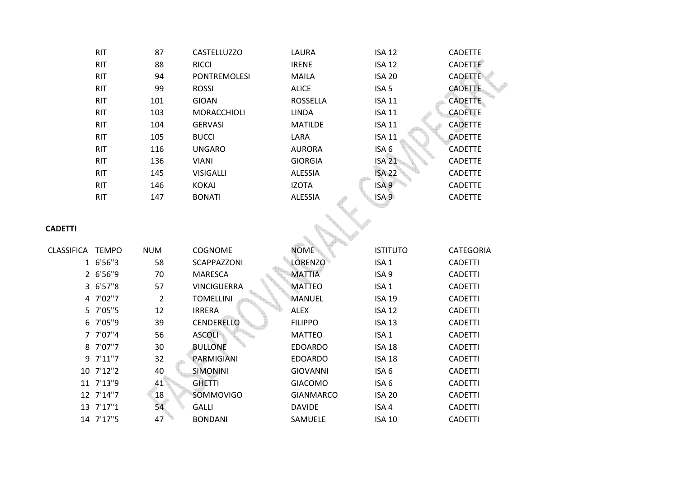| <b>RIT</b> | 87  | <b>CASTELLUZZO</b>  | LAURA           | <b>ISA 12</b>    | <b>CADETTE</b> |
|------------|-----|---------------------|-----------------|------------------|----------------|
| <b>RIT</b> | 88  | <b>RICCI</b>        | <b>IRENE</b>    | <b>ISA 12</b>    | <b>CADETTE</b> |
| <b>RIT</b> | 94  | <b>PONTREMOLESI</b> | MAILA           | <b>ISA 20</b>    | <b>CADETTE</b> |
| <b>RIT</b> | 99  | <b>ROSSI</b>        | <b>ALICE</b>    | ISA <sub>5</sub> | <b>CADETTE</b> |
| <b>RIT</b> | 101 | GIOAN               | <b>ROSSELLA</b> | <b>ISA 11</b>    | <b>CADETTE</b> |
| <b>RIT</b> | 103 | <b>MORACCHIOLI</b>  | <b>LINDA</b>    | <b>ISA 11</b>    | <b>CADETTE</b> |
| <b>RIT</b> | 104 | <b>GERVASI</b>      | <b>MATILDE</b>  | <b>ISA 11</b>    | <b>CADETTE</b> |
| <b>RIT</b> | 105 | <b>BUCCI</b>        | LARA            | <b>ISA 11</b>    | <b>CADETTE</b> |
| <b>RIT</b> | 116 | <b>UNGARO</b>       | <b>AURORA</b>   | ISA 6            | <b>CADETTE</b> |
| <b>RIT</b> | 136 | VIANI               | <b>GIORGIA</b>  | <b>ISA 21</b>    | <b>CADETTE</b> |
| <b>RIT</b> | 145 | <b>VISIGALLI</b>    | <b>ALESSIA</b>  | <b>ISA 22</b>    | <b>CADETTE</b> |
| <b>RIT</b> | 146 | <b>KOKAJ</b>        | <b>IZOTA</b>    | ISA <sub>9</sub> | <b>CADETTE</b> |
| <b>RIT</b> | 147 | <b>BONATI</b>       | <b>ALESSIA</b>  | ISA <sub>9</sub> | <b>CADETTE</b> |
|            |     |                     |                 |                  |                |
|            |     |                     |                 |                  |                |

# **CADETTI**

| <b>CLASSIFICA</b> | <b>TEMPO</b> | <b>NUM</b> | <b>COGNOME</b>     | <b>NOME</b>      | <b>ISTITUTO</b>  | <b>CATEGORIA</b> |
|-------------------|--------------|------------|--------------------|------------------|------------------|------------------|
|                   | 1 6'56"3     | 58         | <b>SCAPPAZZONI</b> | <b>LORENZO</b>   | ISA <sub>1</sub> | <b>CADETTI</b>   |
|                   | 2 6'56"9     | 70         | <b>MARESCA</b>     | <b>MATTIA</b>    | ISA <sub>9</sub> | <b>CADETTI</b>   |
|                   | 3 6'57"8     | 57         | <b>VINCIGUERRA</b> | <b>MATTEO</b>    | ISA <sub>1</sub> | <b>CADETTI</b>   |
|                   | 4 7'02"7     | 2          | <b>TOMELLINI</b>   | MANUEL           | <b>ISA 19</b>    | <b>CADETTI</b>   |
|                   | 5 7'05"5     | 12         | <b>IRRERA</b>      | <b>ALEX</b>      | <b>ISA 12</b>    | <b>CADETTI</b>   |
|                   | 6 7'05"9     | 39         | <b>CENDERELLO</b>  | <b>FILIPPO</b>   | <b>ISA 13</b>    | <b>CADETTI</b>   |
|                   | 7 7'07"4     | 56         | <b>ASCOLI</b>      | <b>MATTEO</b>    | ISA <sub>1</sub> | <b>CADETTI</b>   |
|                   | 8 7'07"7     | 30         | <b>BULLONE</b>     | <b>EDOARDO</b>   | <b>ISA 18</b>    | <b>CADETTI</b>   |
|                   | 9 7'11"7     | 32         | PARMIGIANI         | <b>EDOARDO</b>   | <b>ISA 18</b>    | <b>CADETTI</b>   |
|                   | 10 7'12"2    | 40         | <b>SIMONINI</b>    | <b>GIOVANNI</b>  | ISA <sub>6</sub> | <b>CADETTI</b>   |
|                   | 11 7'13"9    | 41         | <b>GHETTI</b>      | <b>GIACOMO</b>   | ISA 6            | <b>CADETTI</b>   |
|                   | 12 7'14"7    | 18         | <b>SOMMOVIGO</b>   | <b>GIANMARCO</b> | <b>ISA 20</b>    | <b>CADETTI</b>   |
|                   | 13 7'17"1    | 54         | <b>GALLI</b>       | <b>DAVIDE</b>    | ISA <sub>4</sub> | <b>CADETTI</b>   |
|                   | 14 7'17"5    | 47         | <b>BONDANI</b>     | <b>SAMUELE</b>   | <b>ISA 10</b>    | <b>CADETTI</b>   |
|                   |              |            |                    |                  |                  |                  |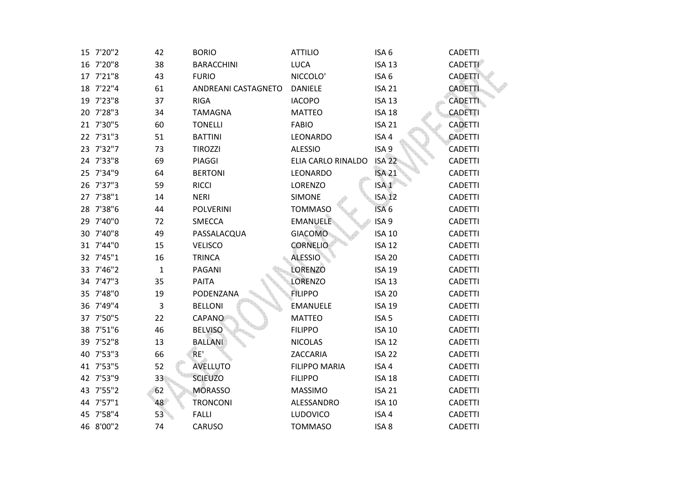| 15 7'20"2 | 42           | <b>BORIO</b>        | <b>ATTILIO</b>       | ISA <sub>6</sub> | <b>CADETTI</b> |
|-----------|--------------|---------------------|----------------------|------------------|----------------|
| 16 7'20"8 | 38           | <b>BARACCHINI</b>   | <b>LUCA</b>          | <b>ISA 13</b>    | <b>CADETTI</b> |
| 17 7'21"8 | 43           | <b>FURIO</b>        | NICCOLO'             | ISA <sub>6</sub> | <b>CADETTI</b> |
| 18 7'22"4 | 61           | ANDREANI CASTAGNETO | <b>DANIELE</b>       | <b>ISA 21</b>    | <b>CADETTI</b> |
| 19 7'23"8 | 37           | <b>RIGA</b>         | <b>IACOPO</b>        | <b>ISA 13</b>    | <b>CADETTI</b> |
| 20 7'28"3 | 34           | <b>TAMAGNA</b>      | <b>MATTEO</b>        | <b>ISA 18</b>    | <b>CADETTI</b> |
| 21 7'30"5 | 60           | <b>TONELLI</b>      | <b>FABIO</b>         | <b>ISA 21</b>    | <b>CADETTI</b> |
| 22 7'31"3 | 51           | <b>BATTINI</b>      | LEONARDO             | ISA 4            | <b>CADETTI</b> |
| 23 7'32"7 | 73           | <b>TIROZZI</b>      | <b>ALESSIO</b>       | ISA <sub>9</sub> | <b>CADETTI</b> |
| 24 7'33"8 | 69           | PIAGGI              | ELIA CARLO RINALDO   | <b>ISA 22</b>    | <b>CADETTI</b> |
| 25 7'34"9 | 64           | <b>BERTONI</b>      | LEONARDO             | <b>ISA 21</b>    | <b>CADETTI</b> |
| 26 7'37"3 | 59           | <b>RICCI</b>        | LORENZO              | ISA <sub>1</sub> | <b>CADETTI</b> |
| 27 7'38"1 | 14           | <b>NERI</b>         | <b>SIMONE</b>        | <b>ISA 12</b>    | <b>CADETTI</b> |
| 28 7'38"6 | 44           | <b>POLVERINI</b>    | <b>TOMMASO</b>       | ISA <sub>6</sub> | <b>CADETTI</b> |
| 29 7'40"0 | 72           | SMECCA              | <b>EMANUELE</b>      | ISA <sub>9</sub> | <b>CADETTI</b> |
| 30 7'40"8 | 49           | PASSALACQUA         | <b>GIACOMO</b>       | <b>ISA 10</b>    | <b>CADETTI</b> |
| 31 7'44"0 | 15           | <b>VELISCO</b>      | <b>CORNELIO</b>      | <b>ISA 12</b>    | <b>CADETTI</b> |
| 32 7'45"1 | 16           | <b>TRINCA</b>       | <b>ALESSIO</b>       | <b>ISA 20</b>    | <b>CADETTI</b> |
| 33 7'46"2 | $\mathbf{1}$ | PAGANI              | LORENZO              | <b>ISA 19</b>    | <b>CADETTI</b> |
| 34 7'47"3 | 35           | PAITA               | <b>LORENZO</b>       | <b>ISA 13</b>    | <b>CADETTI</b> |
| 35 7'48"0 | 19           | PODENZANA           | <b>FILIPPO</b>       | <b>ISA 20</b>    | <b>CADETTI</b> |
| 36 7'49"4 | $\mathbf{3}$ | <b>BELLONI</b>      | <b>EMANUELE</b>      | <b>ISA 19</b>    | <b>CADETTI</b> |
| 37 7'50"5 | 22           | <b>CAPANO</b>       | <b>MATTEO</b>        | ISA <sub>5</sub> | <b>CADETTI</b> |
| 38 7'51"6 | 46           | <b>BELVISO</b>      | <b>FILIPPO</b>       | <b>ISA 10</b>    | <b>CADETTI</b> |
| 39 7'52"8 | 13           | <b>BALLANI</b>      | <b>NICOLAS</b>       | <b>ISA 12</b>    | <b>CADETTI</b> |
| 40 7'53"3 | 66           | RE'                 | ZACCARIA             | <b>ISA 22</b>    | <b>CADETTI</b> |
| 41 7'53"5 | 52           | <b>AVELLUTO</b>     | <b>FILIPPO MARIA</b> | ISA 4            | <b>CADETTI</b> |
| 42 7'53"9 | 33           | <b>SCIEUZO</b>      | <b>FILIPPO</b>       | <b>ISA 18</b>    | <b>CADETTI</b> |
| 43 7'55"2 | 62           | <b>MORASSO</b>      | <b>MASSIMO</b>       | <b>ISA 21</b>    | <b>CADETTI</b> |
| 44 7'57"1 | 48           | <b>TRONCONI</b>     | ALESSANDRO           | <b>ISA 10</b>    | <b>CADETTI</b> |
| 45 7'58"4 | 53           | <b>FALLI</b>        | <b>LUDOVICO</b>      | ISA 4            | <b>CADETTI</b> |
| 46 8'00"2 | 74           | CARUSO              | <b>TOMMASO</b>       | ISA <sub>8</sub> | <b>CADETTI</b> |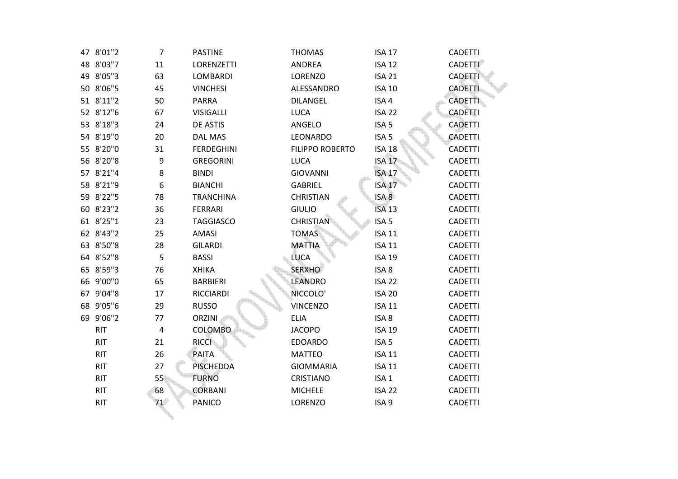| 47 8'01"2  | $\overline{7}$ | <b>PASTINE</b>    | <b>THOMAS</b>          | <b>ISA 17</b>     | <b>CADETTI</b> |
|------------|----------------|-------------------|------------------------|-------------------|----------------|
| 48 8'03"7  | 11             | LORENZETTI        | ANDREA                 | <b>ISA 12</b>     | <b>CADETTI</b> |
| 49 8'05"3  | 63             | <b>LOMBARDI</b>   | LORENZO                | <b>ISA 21</b>     | <b>CADETTI</b> |
| 50 8'06"5  | 45             | <b>VINCHESI</b>   | ALESSANDRO             | <b>ISA 10</b>     | <b>CADETTI</b> |
| 51 8'11"2  | 50             | <b>PARRA</b>      | <b>DILANGEL</b>        | ISA 4             | <b>CADETTI</b> |
| 52 8'12"6  | 67             | <b>VISIGALLI</b>  | <b>LUCA</b>            | ISA <sub>22</sub> | <b>CADETTI</b> |
| 53 8'18"3  | 24             | DE ASTIS          | ANGELO                 | ISA <sub>5</sub>  | <b>CADETTI</b> |
| 54 8'19"0  | 20             | <b>DAL MAS</b>    | LEONARDO               | ISA <sub>5</sub>  | <b>CADETTI</b> |
| 55 8'20"0  | 31             | <b>FERDEGHINI</b> | <b>FILIPPO ROBERTO</b> | <b>ISA 18</b>     | <b>CADETTI</b> |
| 56 8'20"8  | 9              | <b>GREGORINI</b>  | <b>LUCA</b>            | <b>ISA 17</b>     | <b>CADETTI</b> |
| 57 8'21"4  | 8              | <b>BINDI</b>      | <b>GIOVANNI</b>        | <b>ISA 17</b>     | <b>CADETTI</b> |
| 58 8'21"9  | 6              | <b>BIANCHI</b>    | <b>GABRIEL</b>         | <b>ISA 17</b>     | <b>CADETTI</b> |
| 59 8'22"5  | 78             | <b>TRANCHINA</b>  | <b>CHRISTIAN</b>       | ISA 8             | <b>CADETTI</b> |
| 60 8'23"2  | 36             | <b>FERRARI</b>    | <b>GIULIO</b>          | <b>ISA 13</b>     | <b>CADETTI</b> |
| 61 8'25"1  | 23             | <b>TAGGIASCO</b>  | <b>CHRISTIAN</b>       | ISA <sub>5</sub>  | <b>CADETTI</b> |
| 62 8'43"2  | 25             | <b>AMASI</b>      | <b>TOMAS</b>           | <b>ISA 11</b>     | <b>CADETTI</b> |
| 63 8'50"8  | 28             | <b>GILARDI</b>    | <b>MATTIA</b>          | <b>ISA 11</b>     | <b>CADETTI</b> |
| 64 8'52"8  | 5              | <b>BASSI</b>      | <b>LUCA</b>            | <b>ISA 19</b>     | <b>CADETTI</b> |
| 65 8'59"3  | 76             | <b>XHIKA</b>      | <b>SERXHO</b>          | ISA 8             | <b>CADETTI</b> |
| 66 9'00"0  | 65             | <b>BARBIERI</b>   | <b>LEANDRO</b>         | <b>ISA 22</b>     | <b>CADETTI</b> |
| 67 9'04"8  | 17             | <b>RICCIARDI</b>  | NICCOLO'               | <b>ISA 20</b>     | <b>CADETTI</b> |
| 68 9'05"6  | 29             | <b>RUSSO</b>      | <b>VINCENZO</b>        | <b>ISA 11</b>     | <b>CADETTI</b> |
| 69 9'06"2  | 77             | <b>ORZINI</b>     | <b>ELIA</b>            | ISA 8             | <b>CADETTI</b> |
| <b>RIT</b> | $\overline{4}$ | COLOMBO           | <b>JACOPO</b>          | <b>ISA 19</b>     | <b>CADETTI</b> |
| <b>RIT</b> | 21             | <b>RICCI</b>      | <b>EDOARDO</b>         | ISA <sub>5</sub>  | <b>CADETTI</b> |
| <b>RIT</b> | 26             | PAITA             | <b>MATTEO</b>          | <b>ISA 11</b>     | <b>CADETTI</b> |
| <b>RIT</b> | 27             | <b>PISCHEDDA</b>  | <b>GIOMMARIA</b>       | <b>ISA 11</b>     | <b>CADETTI</b> |
| <b>RIT</b> | 55             | <b>FURNO</b>      | <b>CRISTIANO</b>       | ISA <sub>1</sub>  | <b>CADETTI</b> |
| <b>RIT</b> | 68             | <b>CORBANI</b>    | <b>MICHELE</b>         | <b>ISA 22</b>     | <b>CADETTI</b> |
| <b>RIT</b> | 71             | PANICO            | <b>LORENZO</b>         | ISA <sub>9</sub>  | <b>CADETTI</b> |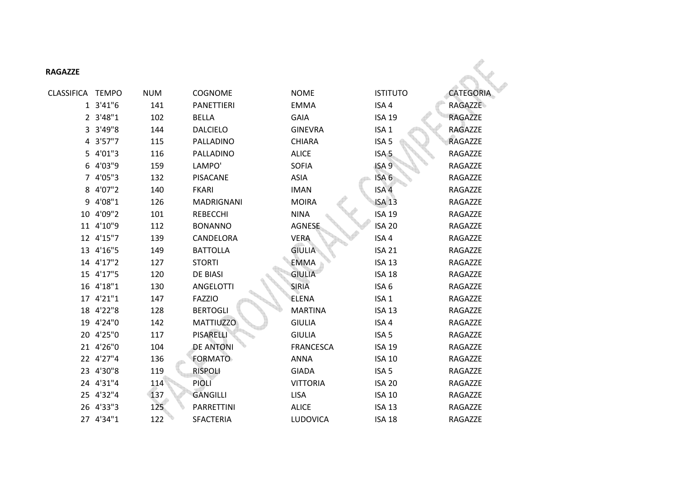| <b>RAGAZZE</b>   |           |            |                   |                  |                  |                  |
|------------------|-----------|------------|-------------------|------------------|------------------|------------------|
| CLASSIFICA TEMPO |           | <b>NUM</b> | <b>COGNOME</b>    | <b>NOME</b>      | <b>ISTITUTO</b>  | <b>CATEGORIA</b> |
|                  | 1 3'41"6  | 141        | <b>PANETTIERI</b> | <b>EMMA</b>      | ISA 4            | <b>RAGAZZE</b>   |
|                  | 2 3'48"1  | 102        | <b>BELLA</b>      | <b>GAIA</b>      | <b>ISA 19</b>    | <b>RAGAZZE</b>   |
|                  | 3 3'49"8  | 144        | <b>DALCIELO</b>   | <b>GINEVRA</b>   | ISA <sub>1</sub> | RAGAZZE          |
|                  | 4 3'57"7  | 115        | PALLADINO         | <b>CHIARA</b>    | ISA <sub>5</sub> | <b>RAGAZZE</b>   |
|                  | 5 4'01"3  | 116        | PALLADINO         | <b>ALICE</b>     | ISA <sub>5</sub> | RAGAZZE          |
|                  | 6 4'03"9  | 159        | LAMPO'            | <b>SOFIA</b>     | ISA <sub>9</sub> | RAGAZZE          |
|                  | 7 4'05"3  | 132        | <b>PISACANE</b>   | <b>ASIA</b>      | ISA <sub>6</sub> | RAGAZZE          |
|                  | 8 4'07"2  | 140        | <b>FKARI</b>      | <b>IMAN</b>      | ISA <sub>4</sub> | RAGAZZE          |
|                  | 9 4'08"1  | 126        | <b>MADRIGNANI</b> | <b>MOIRA</b>     | <b>ISA 13</b>    | RAGAZZE          |
|                  | 10 4'09"2 | 101        | <b>REBECCHI</b>   | <b>NINA</b>      | <b>ISA 19</b>    | RAGAZZE          |
|                  | 11 4'10"9 | 112        | <b>BONANNO</b>    | <b>AGNESE</b>    | <b>ISA 20</b>    | RAGAZZE          |
|                  | 12 4'15"7 | 139        | CANDELORA         | <b>VERA</b>      | ISA 4            | RAGAZZE          |
|                  | 13 4'16"5 | 149        | <b>BATTOLLA</b>   | <b>GIULIA</b>    | <b>ISA 21</b>    | RAGAZZE          |
|                  | 14 4'17"2 | 127        | <b>STORTI</b>     | <b>EMMA</b>      | <b>ISA 13</b>    | RAGAZZE          |
|                  | 15 4'17"5 | 120        | <b>DE BIASI</b>   | <b>GIULIA</b>    | <b>ISA 18</b>    | RAGAZZE          |
|                  | 16 4'18"1 | 130        | <b>ANGELOTTI</b>  | <b>SIRIA</b>     | ISA <sub>6</sub> | RAGAZZE          |
|                  | 17 4'21"1 | 147        | <b>FAZZIO</b>     | ELENA            | ISA <sub>1</sub> | RAGAZZE          |
|                  | 18 4'22"8 | 128        | <b>BERTOGLI</b>   | <b>MARTINA</b>   | <b>ISA 13</b>    | RAGAZZE          |
|                  | 19 4'24"0 | 142        | <b>MATTIUZZO</b>  | <b>GIULIA</b>    | ISA 4            | RAGAZZE          |
|                  | 20 4'25"0 | 117        | <b>PISARELLI</b>  | <b>GIULIA</b>    | ISA <sub>5</sub> | RAGAZZE          |
|                  | 21 4'26"0 | 104        | <b>DE ANTONI</b>  | <b>FRANCESCA</b> | <b>ISA 19</b>    | RAGAZZE          |
|                  | 22 4'27"4 | 136        | <b>FORMATO</b>    | <b>ANNA</b>      | <b>ISA 10</b>    | RAGAZZE          |
|                  | 23 4'30"8 | 119        | <b>RISPOLI</b>    | <b>GIADA</b>     | ISA <sub>5</sub> | RAGAZZE          |
|                  | 24 4'31"4 | 114        | <b>PIOLI</b>      | <b>VITTORIA</b>  | <b>ISA 20</b>    | RAGAZZE          |
|                  | 25 4'32"4 | 137        | <b>GANGILLI</b>   | <b>LISA</b>      | <b>ISA 10</b>    | RAGAZZE          |
|                  | 26 4'33"3 | 125        | PARRETTINI        | <b>ALICE</b>     | <b>ISA 13</b>    | RAGAZZE          |
|                  | 27 4'34"1 | 122        | <b>SFACTERIA</b>  | LUDOVICA         | <b>ISA 18</b>    | RAGAZZE          |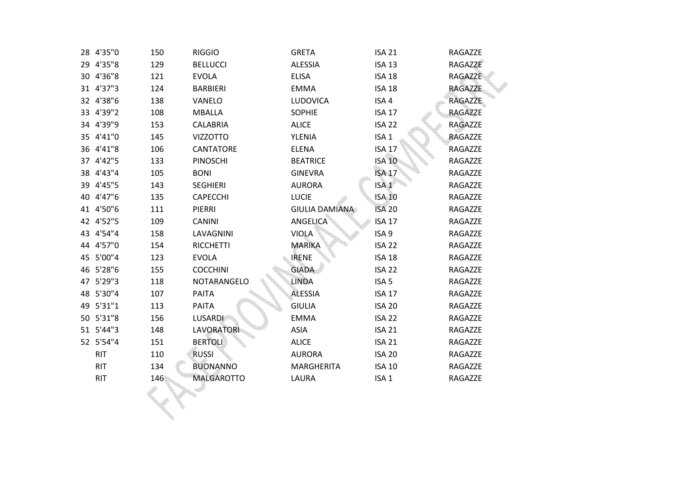| 28 4'35"0  | 150 | <b>RIGGIO</b>     | <b>GRETA</b>          | <b>ISA 21</b>     | RAGAZZE        |
|------------|-----|-------------------|-----------------------|-------------------|----------------|
| 29 4'35"8  | 129 | <b>BELLUCCI</b>   | <b>ALESSIA</b>        | <b>ISA 13</b>     | RAGAZZE        |
| 30 4'36"8  | 121 | <b>EVOLA</b>      | <b>ELISA</b>          | <b>ISA 18</b>     | RAGAZZE        |
| 31 4'37"3  | 124 | <b>BARBIERI</b>   | <b>EMMA</b>           | <b>ISA 18</b>     | <b>RAGAZZE</b> |
| 32 4'38"6  | 138 | VANELO            | LUDOVICA              | ISA 4             | <b>RAGAZZE</b> |
| 33 4'39"2  | 108 | <b>MBALLA</b>     | <b>SOPHIE</b>         | <b>ISA 17</b>     | RAGAZZE        |
| 34 4'39"9  | 153 | <b>CALABRIA</b>   | <b>ALICE</b>          | ISA <sub>22</sub> | RAGAZZE        |
| 35 4'41"0  | 145 | <b>VIZZOTTO</b>   | YLENIA                | ISA <sub>1</sub>  | RAGAZZE        |
| 36 4'41"8  | 106 | <b>CANTATORE</b>  | <b>ELENA</b>          | ISA <sub>17</sub> | RAGAZZE        |
| 37 4'42"5  | 133 | <b>PINOSCHI</b>   | <b>BEATRICE</b>       | <b>ISA 10</b>     | RAGAZZE        |
| 38 4'43"4  | 105 | <b>BONI</b>       | <b>GINEVRA</b>        | <b>ISA 17</b>     | RAGAZZE        |
| 39 4'45"5  | 143 | <b>SEGHIERI</b>   | <b>AURORA</b>         | ISA <sub>1</sub>  | RAGAZZE        |
| 40 4'47"6  | 135 | <b>CAPECCHI</b>   | <b>LUCIE</b>          | <b>ISA 10</b>     | RAGAZZE        |
| 41 4'50"6  | 111 | PIERRI            | <b>GIULIA DAMIANA</b> | <b>ISA 20</b>     | RAGAZZE        |
| 42 4'52"5  | 109 | <b>CANINI</b>     | ANGELICA              | <b>ISA 17</b>     | RAGAZZE        |
| 43 4'54"4  | 158 | LAVAGNINI         | <b>VIOLA</b>          | ISA <sub>9</sub>  | RAGAZZE        |
| 44 4'57"0  | 154 | <b>RICCHETTI</b>  | <b>MARIKA</b>         | ISA <sub>22</sub> | RAGAZZE        |
| 45 5'00"4  | 123 | <b>EVOLA</b>      | <b>IRENE</b>          | <b>ISA 18</b>     | RAGAZZE        |
| 46 5'28"6  | 155 | <b>COCCHINI</b>   | <b>GIADA</b>          | <b>ISA 22</b>     | RAGAZZE        |
| 47 5'29"3  | 118 | NOTARANGELO       | <b>LINDA</b>          | ISA <sub>5</sub>  | RAGAZZE        |
| 48 5'30"4  | 107 | <b>PAITA</b>      | <b>ALESSIA</b>        | <b>ISA 17</b>     | RAGAZZE        |
| 49 5'31"1  | 113 | <b>PAITA</b>      | <b>GIULIA</b>         | <b>ISA 20</b>     | RAGAZZE        |
| 50 5'31"8  | 156 | <b>LUSARDI</b>    | <b>EMMA</b>           | ISA <sub>22</sub> | RAGAZZE        |
| 51 5'44"3  | 148 | <b>LAVORATORI</b> | <b>ASIA</b>           | <b>ISA 21</b>     | RAGAZZE        |
| 52 5'54"4  | 151 | <b>BERTOLI</b>    | <b>ALICE</b>          | <b>ISA 21</b>     | RAGAZZE        |
| <b>RIT</b> | 110 | <b>RUSSI</b>      | <b>AURORA</b>         | <b>ISA 20</b>     | RAGAZZE        |
| <b>RIT</b> | 134 | <b>BUONANNO</b>   | <b>MARGHERITA</b>     | <b>ISA 10</b>     | RAGAZZE        |
| <b>RIT</b> | 146 | <b>MALGAROTTO</b> | LAURA                 | ISA <sub>1</sub>  | RAGAZZE        |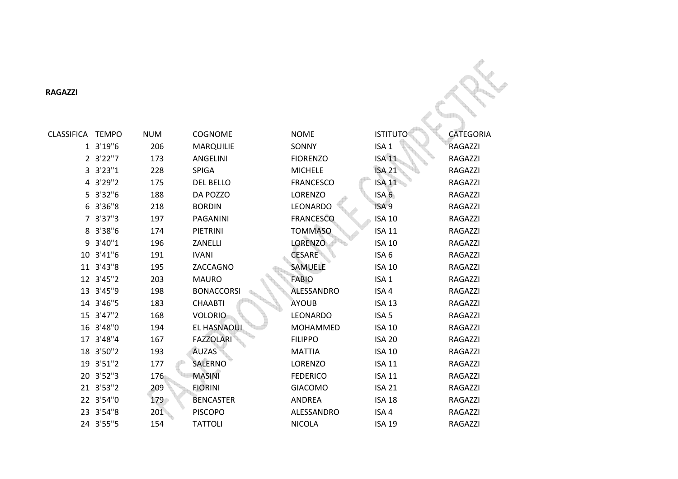**RAGAZZI** 

| <b>RAGAZZI</b>   |           |            |                   |                   |                  |                  |
|------------------|-----------|------------|-------------------|-------------------|------------------|------------------|
| CLASSIFICA TEMPO |           | <b>NUM</b> | <b>COGNOME</b>    | <b>NOME</b>       | <b>ISTITUTO</b>  | <b>CATEGORIA</b> |
|                  | 1 3'19"6  | 206        | <b>MARQUILIE</b>  | SONNY             | ISA <sub>1</sub> | <b>RAGAZZI</b>   |
|                  | 2 3'22"7  | 173        | <b>ANGELINI</b>   | <b>FIORENZO</b>   | <b>ISA 11</b>    | <b>RAGAZZI</b>   |
|                  | 3 3'23"1  | 228        | <b>SPIGA</b>      | <b>MICHELE</b>    | <b>ISA 21</b>    | <b>RAGAZZI</b>   |
|                  | 4 3'29"2  | 175        | <b>DEL BELLO</b>  | <b>FRANCESCO</b>  | <b>ISA 11</b>    | <b>RAGAZZI</b>   |
|                  | 5 3'32"6  | 188        | DA POZZO          | <b>LORENZO</b>    | ISA <sub>6</sub> | RAGAZZI          |
|                  | 6 3'36"8  | 218        | <b>BORDIN</b>     | LEONARDO          | ISA <sub>9</sub> | <b>RAGAZZI</b>   |
|                  | 7 3'37"3  | 197        | <b>PAGANINI</b>   | <b>FRANCESCO</b>  | <b>ISA 10</b>    | <b>RAGAZZI</b>   |
|                  | 8 3'38"6  | 174        | PIETRINI          | <b>TOMMASO</b>    | <b>ISA 11</b>    | <b>RAGAZZI</b>   |
|                  | 9 3'40"1  | 196        | ZANELLI           | <b>LORENZO</b>    | <b>ISA 10</b>    | <b>RAGAZZI</b>   |
|                  | 10 3'41"6 | 191        | <b>IVANI</b>      | <b>CESARE</b>     | ISA <sub>6</sub> | <b>RAGAZZI</b>   |
|                  | 11 3'43"8 | 195        | ZACCAGNO          | SAMUELE           | <b>ISA 10</b>    | <b>RAGAZZI</b>   |
|                  | 12 3'45"2 | 203        | <b>MAURO</b>      | <b>FABIO</b>      | ISA <sub>1</sub> | <b>RAGAZZI</b>   |
|                  | 13 3'45"9 | 198        | <b>BONACCORSI</b> | <b>ALESSANDRO</b> | ISA <sub>4</sub> | <b>RAGAZZI</b>   |
|                  | 14 3'46"5 | 183        | <b>CHAABTI</b>    | <b>AYOUB</b>      | <b>ISA 13</b>    | <b>RAGAZZI</b>   |
|                  | 15 3'47"2 | 168        | <b>VOLORIO</b>    | LEONARDO          | ISA <sub>5</sub> | <b>RAGAZZI</b>   |
|                  | 16 3'48"0 | 194        | EL HASNAOUI       | <b>MOHAMMED</b>   | <b>ISA 10</b>    | RAGAZZI          |
|                  | 17 3'48"4 | 167        | <b>FAZZOLARI</b>  | <b>FILIPPO</b>    | <b>ISA 20</b>    | <b>RAGAZZI</b>   |
|                  | 18 3'50"2 | 193        | <b>AUZAS</b>      | <b>MATTIA</b>     | <b>ISA 10</b>    | <b>RAGAZZI</b>   |
|                  | 19 3'51"2 | 177        | <b>SALERNO</b>    | LORENZO           | <b>ISA 11</b>    | <b>RAGAZZI</b>   |
|                  | 20 3'52"3 | 176        | <b>MASINI</b>     | <b>FEDERICO</b>   | <b>ISA 11</b>    | <b>RAGAZZI</b>   |
|                  | 21 3'53"2 | 209        | <b>FIORINI</b>    | <b>GIACOMO</b>    | <b>ISA 21</b>    | <b>RAGAZZI</b>   |
|                  | 22 3'54"0 | 179        | <b>BENCASTER</b>  | ANDREA            | <b>ISA 18</b>    | <b>RAGAZZI</b>   |
|                  | 23 3'54"8 | 201        | <b>PISCOPO</b>    | ALESSANDRO        | ISA 4            | <b>RAGAZZI</b>   |
|                  | 24 3'55"5 | 154        | <b>TATTOLI</b>    | <b>NICOLA</b>     | <b>ISA 19</b>    | <b>RAGAZZI</b>   |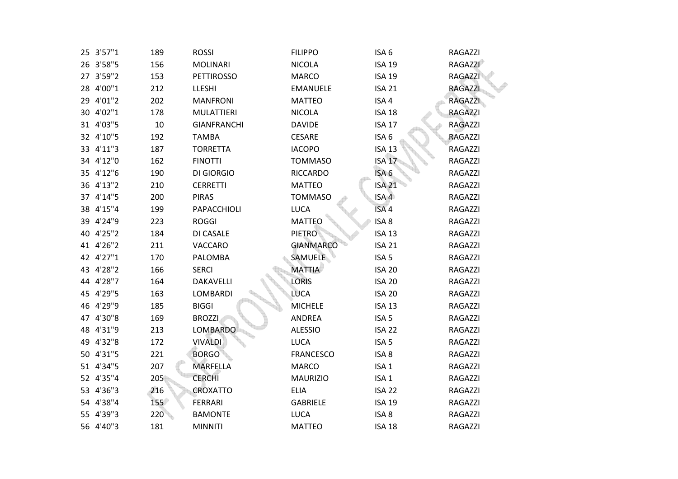| 189                                                                                                                                                                                                                                                                                                                                                                                                                          | <b>ROSSI</b>       | <b>FILIPPO</b>   | ISA <sub>6</sub> | RAGAZZI        |
|------------------------------------------------------------------------------------------------------------------------------------------------------------------------------------------------------------------------------------------------------------------------------------------------------------------------------------------------------------------------------------------------------------------------------|--------------------|------------------|------------------|----------------|
| 156                                                                                                                                                                                                                                                                                                                                                                                                                          | <b>MOLINARI</b>    | <b>NICOLA</b>    | <b>ISA 19</b>    | <b>RAGAZZI</b> |
| 153                                                                                                                                                                                                                                                                                                                                                                                                                          | <b>PETTIROSSO</b>  | <b>MARCO</b>     | <b>ISA 19</b>    | <b>RAGAZZI</b> |
| 212                                                                                                                                                                                                                                                                                                                                                                                                                          | LLESHI             | <b>EMANUELE</b>  | <b>ISA 21</b>    | <b>RAGAZZI</b> |
| 202                                                                                                                                                                                                                                                                                                                                                                                                                          | <b>MANFRONI</b>    | <b>MATTEO</b>    | ISA 4            | <b>RAGAZZI</b> |
| 178                                                                                                                                                                                                                                                                                                                                                                                                                          | <b>MULATTIERI</b>  | <b>NICOLA</b>    | <b>ISA 18</b>    | RAGAZZI        |
| $10\,$                                                                                                                                                                                                                                                                                                                                                                                                                       | <b>GIANFRANCHI</b> | <b>DAVIDE</b>    | <b>ISA 17</b>    | RAGAZZI        |
| 192                                                                                                                                                                                                                                                                                                                                                                                                                          | <b>TAMBA</b>       | CESARE           | ISA 6            | RAGAZZI        |
| 187                                                                                                                                                                                                                                                                                                                                                                                                                          | <b>TORRETTA</b>    | <b>IACOPO</b>    | <b>ISA 13</b>    | RAGAZZI        |
| 162                                                                                                                                                                                                                                                                                                                                                                                                                          | <b>FINOTTI</b>     | <b>TOMMASO</b>   | <b>ISA 17</b>    | RAGAZZI        |
| 190                                                                                                                                                                                                                                                                                                                                                                                                                          | <b>DI GIORGIO</b>  | <b>RICCARDO</b>  | ISA <sub>6</sub> | RAGAZZI        |
| 210                                                                                                                                                                                                                                                                                                                                                                                                                          | <b>CERRETTI</b>    | <b>MATTEO</b>    | <b>ISA 21</b>    | RAGAZZI        |
| 200                                                                                                                                                                                                                                                                                                                                                                                                                          | <b>PIRAS</b>       | <b>TOMMASO</b>   | ISA <sub>4</sub> | RAGAZZI        |
| 199                                                                                                                                                                                                                                                                                                                                                                                                                          | PAPACCHIOLI        | <b>LUCA</b>      | ISA <sub>4</sub> | RAGAZZI        |
| 223                                                                                                                                                                                                                                                                                                                                                                                                                          | <b>ROGGI</b>       | <b>MATTEO</b>    | ISA <sub>8</sub> | RAGAZZI        |
| 184                                                                                                                                                                                                                                                                                                                                                                                                                          | DI CASALE          | <b>PIETRO</b>    | <b>ISA 13</b>    | RAGAZZI        |
| 211                                                                                                                                                                                                                                                                                                                                                                                                                          | VACCARO            | <b>GIANMARCO</b> | <b>ISA 21</b>    | RAGAZZI        |
| 170                                                                                                                                                                                                                                                                                                                                                                                                                          | PALOMBA            | SAMUELE          | ISA <sub>5</sub> | RAGAZZI        |
| 166                                                                                                                                                                                                                                                                                                                                                                                                                          | <b>SERCI</b>       | <b>MATTIA</b>    | <b>ISA 20</b>    | RAGAZZI        |
| 164                                                                                                                                                                                                                                                                                                                                                                                                                          | DAKAVELLI          | <b>LORIS</b>     | <b>ISA 20</b>    | RAGAZZI        |
| 163                                                                                                                                                                                                                                                                                                                                                                                                                          | <b>LOMBARDI</b>    | <b>LUCA</b>      | <b>ISA 20</b>    | RAGAZZI        |
| 185                                                                                                                                                                                                                                                                                                                                                                                                                          | <b>BIGGI</b>       | <b>MICHELE</b>   | <b>ISA 13</b>    | RAGAZZI        |
| 169                                                                                                                                                                                                                                                                                                                                                                                                                          | <b>BROZZI</b>      | ANDREA           | ISA <sub>5</sub> | RAGAZZI        |
| 213                                                                                                                                                                                                                                                                                                                                                                                                                          | <b>LOMBARDO</b>    | <b>ALESSIO</b>   | <b>ISA 22</b>    | RAGAZZI        |
| 172                                                                                                                                                                                                                                                                                                                                                                                                                          | <b>VIVALDI</b>     | <b>LUCA</b>      | ISA <sub>5</sub> | RAGAZZI        |
| 221                                                                                                                                                                                                                                                                                                                                                                                                                          | <b>BORGO</b>       | <b>FRANCESCO</b> | ISA <sub>8</sub> | RAGAZZI        |
| 207                                                                                                                                                                                                                                                                                                                                                                                                                          | <b>MARFELLA</b>    | <b>MARCO</b>     | ISA <sub>1</sub> | RAGAZZI        |
| 205                                                                                                                                                                                                                                                                                                                                                                                                                          | <b>CERCHI</b>      | <b>MAURIZIO</b>  | ISA <sub>1</sub> | RAGAZZI        |
| 216                                                                                                                                                                                                                                                                                                                                                                                                                          | CROXATTO           | <b>ELIA</b>      | <b>ISA 22</b>    | RAGAZZI        |
| 155                                                                                                                                                                                                                                                                                                                                                                                                                          | <b>FERRARI</b>     | <b>GABRIELE</b>  | <b>ISA 19</b>    | RAGAZZI        |
| 220                                                                                                                                                                                                                                                                                                                                                                                                                          | <b>BAMONTE</b>     | <b>LUCA</b>      | ISA <sub>8</sub> | RAGAZZI        |
| 181                                                                                                                                                                                                                                                                                                                                                                                                                          | <b>MINNITI</b>     | <b>MATTEO</b>    | <b>ISA 18</b>    | RAGAZZI        |
| 25 3'57"1<br>26 3'58"5<br>27 3'59"2<br>28 4'00"1<br>29 4'01"2<br>30 4'02"1<br>31 4'03"5<br>32 4'10"5<br>33 4'11"3<br>34 4'12"0<br>35 4'12"6<br>36 4'13"2<br>37 4'14"5<br>38 4'15"4<br>39 4'24"9<br>40 4'25"2<br>41 4'26"2<br>42 4'27"1<br>43 4'28"2<br>44 4'28"7<br>45 4'29"5<br>46 4'29"9<br>47 4'30"8<br>48 4'31"9<br>49 4'32"8<br>50 4'31"5<br>51 4'34"5<br>52 4'35"4<br>53 4'36"3<br>54 4'38"4<br>55 4'39"3<br>56 4'40"3 |                    |                  |                  |                |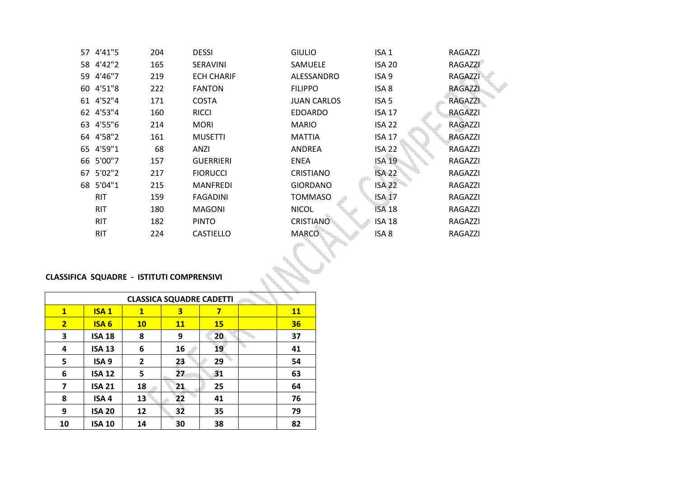|                                  | 204                                                                                                                                                      | <b>DESSI</b>      | <b>GIULIO</b>      | ISA <sub>1</sub>  | RAGAZZI        |  |  |  |
|----------------------------------|----------------------------------------------------------------------------------------------------------------------------------------------------------|-------------------|--------------------|-------------------|----------------|--|--|--|
|                                  | 165                                                                                                                                                      | SERAVINI          | SAMUELE            | <b>ISA 20</b>     | <b>RAGAZZI</b> |  |  |  |
|                                  | 219                                                                                                                                                      | <b>ECH CHARIF</b> | ALESSANDRO         | ISA <sub>9</sub>  | <b>RAGAZZI</b> |  |  |  |
|                                  | 222                                                                                                                                                      | <b>FANTON</b>     | <b>FILIPPO</b>     | ISA <sub>8</sub>  | <b>RAGAZZI</b> |  |  |  |
|                                  | 171                                                                                                                                                      | <b>COSTA</b>      | <b>JUAN CARLOS</b> | ISA <sub>5</sub>  | <b>RAGAZZI</b> |  |  |  |
|                                  | 160                                                                                                                                                      | <b>RICCI</b>      | <b>EDOARDO</b>     | <b>ISA 17</b>     | <b>RAGAZZI</b> |  |  |  |
|                                  | 214                                                                                                                                                      | <b>MORI</b>       | <b>MARIO</b>       | <b>ISA 22</b>     | RAGAZZI        |  |  |  |
|                                  | 161                                                                                                                                                      | <b>MUSETTI</b>    | <b>MATTIA</b>      | <b>ISA 17</b>     | RAGAZZI        |  |  |  |
|                                  | 68                                                                                                                                                       | ANZI              | ANDREA             | <b>ISA 22</b>     | RAGAZZI        |  |  |  |
|                                  | 157                                                                                                                                                      | <b>GUERRIERI</b>  | <b>ENEA</b>        | <b>ISA 19</b>     | RAGAZZI        |  |  |  |
|                                  | 217                                                                                                                                                      | <b>FIORUCCI</b>   | <b>CRISTIANO</b>   | <b>ISA 22</b>     | RAGAZZI        |  |  |  |
|                                  | 215                                                                                                                                                      | <b>MANFREDI</b>   | <b>GIORDANO</b>    | ISA <sub>22</sub> | RAGAZZI        |  |  |  |
| <b>RIT</b>                       | 159                                                                                                                                                      | <b>FAGADINI</b>   | <b>TOMMASO</b>     | <b>ISA 17</b>     | RAGAZZI        |  |  |  |
| <b>RIT</b>                       | 180                                                                                                                                                      | MAGONI            | <b>NICOL</b>       | <b>ISA 18</b>     | RAGAZZI        |  |  |  |
| RIT                              | 182                                                                                                                                                      | <b>PINTO</b>      | <b>CRISTIANO</b>   | <b>ISA 18</b>     | RAGAZZI        |  |  |  |
| <b>RIT</b>                       | 224                                                                                                                                                      | <b>CASTIELLO</b>  | <b>MARCO</b>       | ISA <sub>8</sub>  | RAGAZZI        |  |  |  |
| A SQUADRE - ISTITUTI COMPRENSIVI |                                                                                                                                                          |                   |                    |                   |                |  |  |  |
|                                  | 57 4'41"5<br>58 4'42"2<br>59 4'46"7<br>60 4'51"8<br>61 4'52"4<br>62 4'53"4<br>63 4'55"6<br>64 4'58"2<br>65 4'59"1<br>66 5'00"7<br>67 5'02"2<br>68 5'04"1 |                   |                    |                   |                |  |  |  |

# **CLASSIFICA SQUADRE - ISTITUTI COMPRENSIVI**

|                | <b>CLASSICA SQUADRE CADETTI</b> |              |                 |           |  |           |  |  |  |
|----------------|---------------------------------|--------------|-----------------|-----------|--|-----------|--|--|--|
| $\mathbf{1}$   | <b>ISA1</b>                     | $\mathbf{1}$ | 3               | 7         |  | <b>11</b> |  |  |  |
| $\overline{2}$ | <b>ISA6</b>                     | 10           | <b>11</b>       | <b>15</b> |  | 36        |  |  |  |
| 3              | <b>ISA 18</b>                   | 8            | 9               | 20        |  | 37        |  |  |  |
| 4              | <b>ISA 13</b>                   | 6            | 16              | 19        |  | 41        |  |  |  |
| 5              | ISA <sub>9</sub>                | $\mathbf{2}$ | 23              | 29        |  | 54        |  |  |  |
| 6              | <b>ISA 12</b>                   | 5            | 27              | 31        |  | 63        |  |  |  |
| 7              | <b>ISA 21</b>                   | 18           | 21              | 25        |  | 64        |  |  |  |
| 8              | ISA <sub>4</sub>                | 13           | 22              | 41        |  | 76        |  |  |  |
| 9              | <b>ISA 20</b>                   | 12           | $3\overline{2}$ | 35        |  | 79        |  |  |  |
| 10             | <b>ISA 10</b>                   | 14           | 30              | 38        |  | 82        |  |  |  |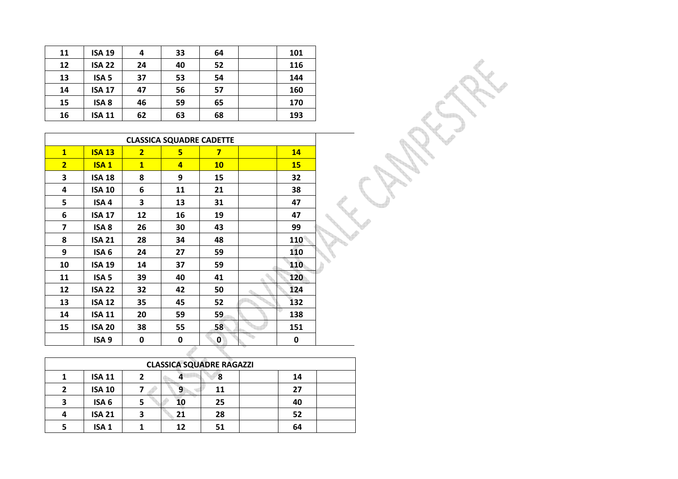| 11 | <b>ISA 19</b>    | 4  | 33 | 64 | 101 |
|----|------------------|----|----|----|-----|
| 12 | <b>ISA 22</b>    | 24 | 40 | 52 | 116 |
| 13 | ISA <sub>5</sub> | 37 | 53 | 54 | 144 |
| 14 | <b>ISA 17</b>    | 47 | 56 | 57 | 160 |
| 15 | ISA <sub>8</sub> | 46 | 59 | 65 | 170 |
| 16 | <b>ISA 11</b>    | 62 | 63 | 68 | 193 |

|                | <b>CLASSICA SQUADRE CADETTE</b> |                |                |                         |  |            |  |  |  |
|----------------|---------------------------------|----------------|----------------|-------------------------|--|------------|--|--|--|
| $\mathbf{1}$   | <b>ISA 13</b>                   | $\overline{2}$ | 5              | $\overline{\mathbf{z}}$ |  | 14         |  |  |  |
| $\overline{2}$ | ISA <sub>1</sub>                | $\mathbf{1}$   | $\overline{a}$ | <b>10</b>               |  | 15         |  |  |  |
| 3              | <b>ISA 18</b>                   | 8              | 9              | 15                      |  | 32         |  |  |  |
| 4              | <b>ISA 10</b>                   | 6              | 11             | 21                      |  | 38         |  |  |  |
| 5              | ISA <sub>4</sub>                | 3              | 13             | 31                      |  | 47         |  |  |  |
| 6              | <b>ISA 17</b>                   | 12             | 16             | 19                      |  | 47         |  |  |  |
| 7              | ISA <sub>8</sub>                | 26             | 30             | 43                      |  | 99         |  |  |  |
| 8              | <b>ISA 21</b>                   | 28             | 34             | 48                      |  | <b>110</b> |  |  |  |
| 9              | ISA <sub>6</sub>                | 24             | 27             | 59                      |  | 110        |  |  |  |
| 10             | <b>ISA 19</b>                   | 14             | 37             | 59                      |  | 110        |  |  |  |
| 11             | ISA <sub>5</sub>                | 39             | 40             | 41                      |  | 120        |  |  |  |
| 12             | <b>ISA 22</b>                   | 32             | 42             | 50                      |  | 124        |  |  |  |
| 13             | <b>ISA 12</b>                   | 35             | 45             | 52                      |  | 132        |  |  |  |
| 14             | <b>ISA 11</b>                   | 20             | 59             | 59                      |  | 138        |  |  |  |
| 15             | <b>ISA 20</b>                   | 38             | 55             | 58                      |  | 151        |  |  |  |
|                | ISA <sub>9</sub>                | 0              | 0              | 0                       |  | 0          |  |  |  |
|                |                                 |                |                |                         |  |            |  |  |  |

|   | <b>CLASSICA SQUADRE RAGAZZI</b> |   |    |    |    |  |  |  |  |
|---|---------------------------------|---|----|----|----|--|--|--|--|
|   | <b>ISA 11</b>                   |   |    | 8  | 14 |  |  |  |  |
| 2 | <b>ISA 10</b>                   |   |    | 11 | 27 |  |  |  |  |
| 3 | ISA <sub>6</sub>                |   |    | 25 | 40 |  |  |  |  |
| 4 | <b>ISA 21</b>                   | 3 | 21 | 28 | 52 |  |  |  |  |
| 5 | ISA <sub>1</sub>                |   | 12 | 51 | 64 |  |  |  |  |